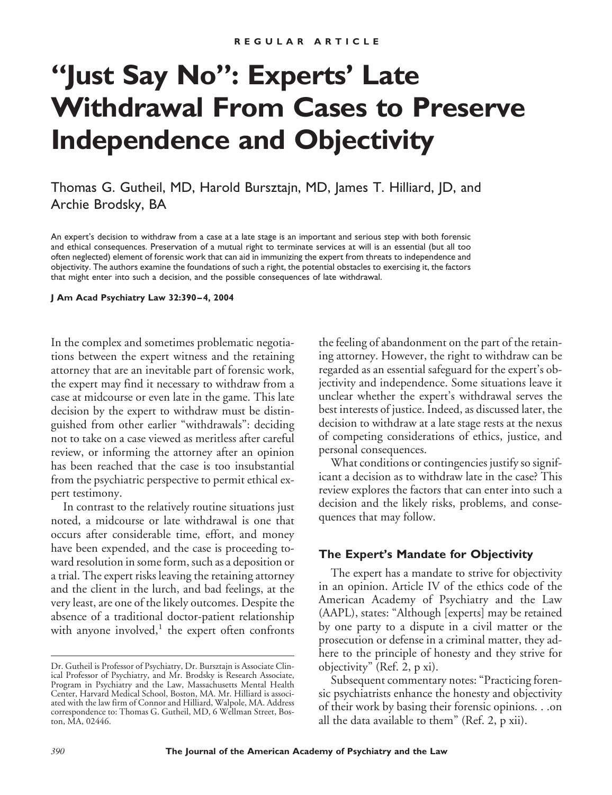# **"Just Say No": Experts' Late Withdrawal From Cases to Preserve Independence and Objectivity**

Thomas G. Gutheil, MD, Harold Bursztajn, MD, James T. Hilliard, JD, and Archie Brodsky, BA

An expert's decision to withdraw from a case at a late stage is an important and serious step with both forensic and ethical consequences. Preservation of a mutual right to terminate services at will is an essential (but all too often neglected) element of forensic work that can aid in immunizing the expert from threats to independence and objectivity. The authors examine the foundations of such a right, the potential obstacles to exercising it, the factors that might enter into such a decision, and the possible consequences of late withdrawal.

**J Am Acad Psychiatry Law 32:390 – 4, 2004**

In the complex and sometimes problematic negotiations between the expert witness and the retaining attorney that are an inevitable part of forensic work, the expert may find it necessary to withdraw from a case at midcourse or even late in the game. This late decision by the expert to withdraw must be distinguished from other earlier "withdrawals": deciding not to take on a case viewed as meritless after careful review, or informing the attorney after an opinion has been reached that the case is too insubstantial from the psychiatric perspective to permit ethical expert testimony.

In contrast to the relatively routine situations just noted, a midcourse or late withdrawal is one that occurs after considerable time, effort, and money have been expended, and the case is proceeding toward resolution in some form, such as a deposition or a trial. The expert risks leaving the retaining attorney and the client in the lurch, and bad feelings, at the very least, are one of the likely outcomes. Despite the absence of a traditional doctor-patient relationship with anyone involved, $\frac{1}{1}$  the expert often confronts the feeling of abandonment on the part of the retaining attorney. However, the right to withdraw can be regarded as an essential safeguard for the expert's objectivity and independence. Some situations leave it unclear whether the expert's withdrawal serves the best interests of justice. Indeed, as discussed later, the decision to withdraw at a late stage rests at the nexus of competing considerations of ethics, justice, and personal consequences.

What conditions or contingencies justify so significant a decision as to withdraw late in the case? This review explores the factors that can enter into such a decision and the likely risks, problems, and consequences that may follow.

#### **The Expert's Mandate for Objectivity**

The expert has a mandate to strive for objectivity in an opinion. Article IV of the ethics code of the American Academy of Psychiatry and the Law (AAPL), states: "Although [experts] may be retained by one party to a dispute in a civil matter or the prosecution or defense in a criminal matter, they adhere to the principle of honesty and they strive for objectivity" (Ref. 2, p xi).

Subsequent commentary notes: "Practicing forensic psychiatrists enhance the honesty and objectivity of their work by basing their forensic opinions. . .on all the data available to them" (Ref. 2, p xii).

Dr. Gutheil is Professor of Psychiatry, Dr. Bursztajn is Associate Clinical Professor of Psychiatry, and Mr. Brodsky is Research Associate, Program in Psychiatry and the Law, Massachusetts Mental Health Center, Harvard Medical School, Boston, MA. Mr. Hilliard is associated with the law firm of Connor and Hilliard, Walpole, MA. Address correspondence to: Thomas G. Gutheil, MD, 6 Wellman Street, Boston, MA, 02446.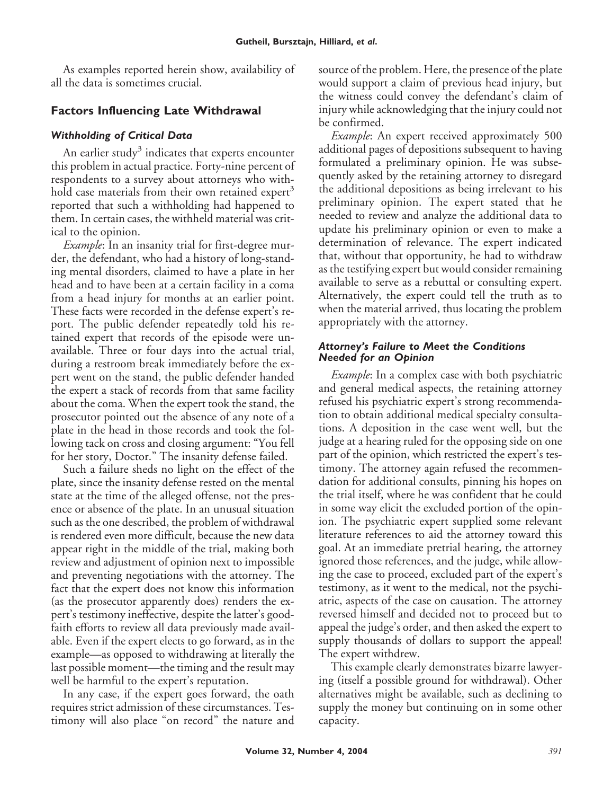As examples reported herein show, availability of all the data is sometimes crucial.

# **Factors Influencing Late Withdrawal**

### *Withholding of Critical Data*

An earlier study<sup>3</sup> indicates that experts encounter this problem in actual practice. Forty-nine percent of respondents to a survey about attorneys who withhold case materials from their own retained expert<sup>3</sup> reported that such a withholding had happened to them. In certain cases, the withheld material was critical to the opinion.

*Example*: In an insanity trial for first-degree murder, the defendant, who had a history of long-standing mental disorders, claimed to have a plate in her head and to have been at a certain facility in a coma from a head injury for months at an earlier point. These facts were recorded in the defense expert's report. The public defender repeatedly told his retained expert that records of the episode were unavailable. Three or four days into the actual trial, during a restroom break immediately before the expert went on the stand, the public defender handed the expert a stack of records from that same facility about the coma. When the expert took the stand, the prosecutor pointed out the absence of any note of a plate in the head in those records and took the following tack on cross and closing argument: "You fell for her story, Doctor." The insanity defense failed.

Such a failure sheds no light on the effect of the plate, since the insanity defense rested on the mental state at the time of the alleged offense, not the presence or absence of the plate. In an unusual situation such as the one described, the problem of withdrawal is rendered even more difficult, because the new data appear right in the middle of the trial, making both review and adjustment of opinion next to impossible and preventing negotiations with the attorney. The fact that the expert does not know this information (as the prosecutor apparently does) renders the expert's testimony ineffective, despite the latter's goodfaith efforts to review all data previously made available. Even if the expert elects to go forward, as in the example—as opposed to withdrawing at literally the last possible moment—the timing and the result may well be harmful to the expert's reputation.

In any case, if the expert goes forward, the oath requires strict admission of these circumstances. Testimony will also place "on record" the nature and source of the problem. Here, the presence of the plate would support a claim of previous head injury, but the witness could convey the defendant's claim of injury while acknowledging that the injury could not be confirmed.

*Example*: An expert received approximately 500 additional pages of depositions subsequent to having formulated a preliminary opinion. He was subsequently asked by the retaining attorney to disregard the additional depositions as being irrelevant to his preliminary opinion. The expert stated that he needed to review and analyze the additional data to update his preliminary opinion or even to make a determination of relevance. The expert indicated that, without that opportunity, he had to withdraw as the testifying expert but would consider remaining available to serve as a rebuttal or consulting expert. Alternatively, the expert could tell the truth as to when the material arrived, thus locating the problem appropriately with the attorney.

#### *Attorney's Failure to Meet the Conditions Needed for an Opinion*

*Example*: In a complex case with both psychiatric and general medical aspects, the retaining attorney refused his psychiatric expert's strong recommendation to obtain additional medical specialty consultations. A deposition in the case went well, but the judge at a hearing ruled for the opposing side on one part of the opinion, which restricted the expert's testimony. The attorney again refused the recommendation for additional consults, pinning his hopes on the trial itself, where he was confident that he could in some way elicit the excluded portion of the opinion. The psychiatric expert supplied some relevant literature references to aid the attorney toward this goal. At an immediate pretrial hearing, the attorney ignored those references, and the judge, while allowing the case to proceed, excluded part of the expert's testimony, as it went to the medical, not the psychiatric, aspects of the case on causation. The attorney reversed himself and decided not to proceed but to appeal the judge's order, and then asked the expert to supply thousands of dollars to support the appeal! The expert withdrew.

This example clearly demonstrates bizarre lawyering (itself a possible ground for withdrawal). Other alternatives might be available, such as declining to supply the money but continuing on in some other capacity.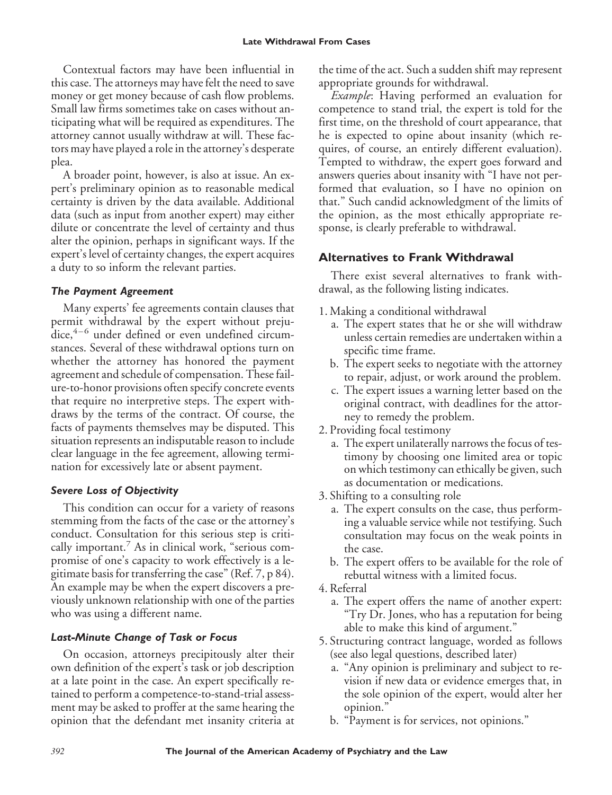Contextual factors may have been influential in this case. The attorneys may have felt the need to save money or get money because of cash flow problems. Small law firms sometimes take on cases without anticipating what will be required as expenditures. The attorney cannot usually withdraw at will. These factors may have played a role in the attorney's desperate plea.

A broader point, however, is also at issue. An expert's preliminary opinion as to reasonable medical certainty is driven by the data available. Additional data (such as input from another expert) may either dilute or concentrate the level of certainty and thus alter the opinion, perhaps in significant ways. If the expert's level of certainty changes, the expert acquires a duty to so inform the relevant parties.

#### *The Payment Agreement*

Many experts' fee agreements contain clauses that permit withdrawal by the expert without preju- $\det^{4-6}$  under defined or even undefined circumstances. Several of these withdrawal options turn on whether the attorney has honored the payment agreement and schedule of compensation. These failure-to-honor provisions often specify concrete events that require no interpretive steps. The expert withdraws by the terms of the contract. Of course, the facts of payments themselves may be disputed. This situation represents an indisputable reason to include clear language in the fee agreement, allowing termination for excessively late or absent payment.

#### *Severe Loss of Objectivity*

This condition can occur for a variety of reasons stemming from the facts of the case or the attorney's conduct. Consultation for this serious step is critically important. $<sup>7</sup>$  As in clinical work, "serious com-</sup> promise of one's capacity to work effectively is a legitimate basis for transferring the case" (Ref. 7, p 84). An example may be when the expert discovers a previously unknown relationship with one of the parties who was using a different name.

#### *Last-Minute Change of Task or Focus*

On occasion, attorneys precipitously alter their own definition of the expert's task or job description at a late point in the case. An expert specifically retained to perform a competence-to-stand-trial assessment may be asked to proffer at the same hearing the opinion that the defendant met insanity criteria at the time of the act. Such a sudden shift may represent appropriate grounds for withdrawal.

*Example*: Having performed an evaluation for competence to stand trial, the expert is told for the first time, on the threshold of court appearance, that he is expected to opine about insanity (which requires, of course, an entirely different evaluation). Tempted to withdraw, the expert goes forward and answers queries about insanity with "I have not performed that evaluation, so I have no opinion on that." Such candid acknowledgment of the limits of the opinion, as the most ethically appropriate response, is clearly preferable to withdrawal.

# **Alternatives to Frank Withdrawal**

There exist several alternatives to frank withdrawal, as the following listing indicates.

- 1. Making a conditional withdrawal
	- a. The expert states that he or she will withdraw unless certain remedies are undertaken within a specific time frame.
	- b. The expert seeks to negotiate with the attorney to repair, adjust, or work around the problem.
	- c. The expert issues a warning letter based on the original contract, with deadlines for the attorney to remedy the problem.
- 2. Providing focal testimony
	- a. The expert unilaterally narrows the focus of testimony by choosing one limited area or topic on which testimony can ethically be given, such as documentation or medications.
- 3. Shifting to a consulting role
	- a. The expert consults on the case, thus performing a valuable service while not testifying. Such consultation may focus on the weak points in the case.
	- b. The expert offers to be available for the role of rebuttal witness with a limited focus.
- 4. Referral
	- a. The expert offers the name of another expert: "Try Dr. Jones, who has a reputation for being able to make this kind of argument."
- 5. Structuring contract language, worded as follows (see also legal questions, described later)
	- a. "Any opinion is preliminary and subject to revision if new data or evidence emerges that, in the sole opinion of the expert, would alter her opinion."
	- b. "Payment is for services, not opinions."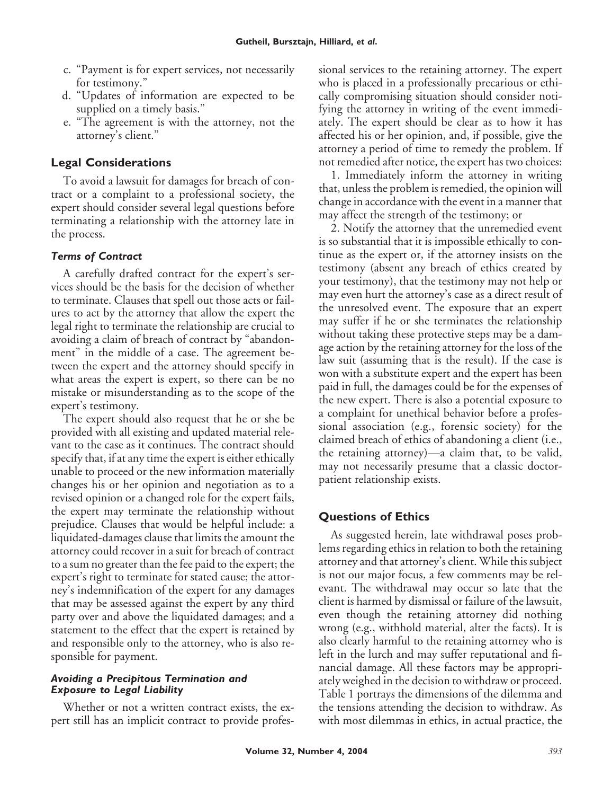- c. "Payment is for expert services, not necessarily for testimony."
- d. "Updates of information are expected to be supplied on a timely basis."
- e. "The agreement is with the attorney, not the attorney's client."

# **Legal Considerations**

To avoid a lawsuit for damages for breach of contract or a complaint to a professional society, the expert should consider several legal questions before terminating a relationship with the attorney late in the process.

# *Terms of Contract*

A carefully drafted contract for the expert's services should be the basis for the decision of whether to terminate. Clauses that spell out those acts or failures to act by the attorney that allow the expert the legal right to terminate the relationship are crucial to avoiding a claim of breach of contract by "abandonment" in the middle of a case. The agreement between the expert and the attorney should specify in what areas the expert is expert, so there can be no mistake or misunderstanding as to the scope of the expert's testimony.

The expert should also request that he or she be provided with all existing and updated material relevant to the case as it continues. The contract should specify that, if at any time the expert is either ethically unable to proceed or the new information materially changes his or her opinion and negotiation as to a revised opinion or a changed role for the expert fails, the expert may terminate the relationship without prejudice. Clauses that would be helpful include: a liquidated-damages clause that limits the amount the attorney could recover in a suit for breach of contract to a sum no greater than the fee paid to the expert; the expert's right to terminate for stated cause; the attorney's indemnification of the expert for any damages that may be assessed against the expert by any third party over and above the liquidated damages; and a statement to the effect that the expert is retained by and responsible only to the attorney, who is also responsible for payment.

#### *Avoiding a Precipitous Termination and Exposure to Legal Liability*

Whether or not a written contract exists, the expert still has an implicit contract to provide professional services to the retaining attorney. The expert who is placed in a professionally precarious or ethically compromising situation should consider notifying the attorney in writing of the event immediately. The expert should be clear as to how it has affected his or her opinion, and, if possible, give the attorney a period of time to remedy the problem. If not remedied after notice, the expert has two choices:

1. Immediately inform the attorney in writing that, unless the problem is remedied, the opinion will change in accordance with the event in a manner that may affect the strength of the testimony; or

2. Notify the attorney that the unremedied event is so substantial that it is impossible ethically to continue as the expert or, if the attorney insists on the testimony (absent any breach of ethics created by your testimony), that the testimony may not help or may even hurt the attorney's case as a direct result of the unresolved event. The exposure that an expert may suffer if he or she terminates the relationship without taking these protective steps may be a damage action by the retaining attorney for the loss of the law suit (assuming that is the result). If the case is won with a substitute expert and the expert has been paid in full, the damages could be for the expenses of the new expert. There is also a potential exposure to a complaint for unethical behavior before a professional association (e.g., forensic society) for the claimed breach of ethics of abandoning a client (i.e., the retaining attorney)—a claim that, to be valid, may not necessarily presume that a classic doctorpatient relationship exists.

# **Questions of Ethics**

As suggested herein, late withdrawal poses problems regarding ethics in relation to both the retaining attorney and that attorney's client. While this subject is not our major focus, a few comments may be relevant. The withdrawal may occur so late that the client is harmed by dismissal or failure of the lawsuit, even though the retaining attorney did nothing wrong (e.g., withhold material, alter the facts). It is also clearly harmful to the retaining attorney who is left in the lurch and may suffer reputational and financial damage. All these factors may be appropriately weighed in the decision to withdraw or proceed. Table 1 portrays the dimensions of the dilemma and the tensions attending the decision to withdraw. As with most dilemmas in ethics, in actual practice, the